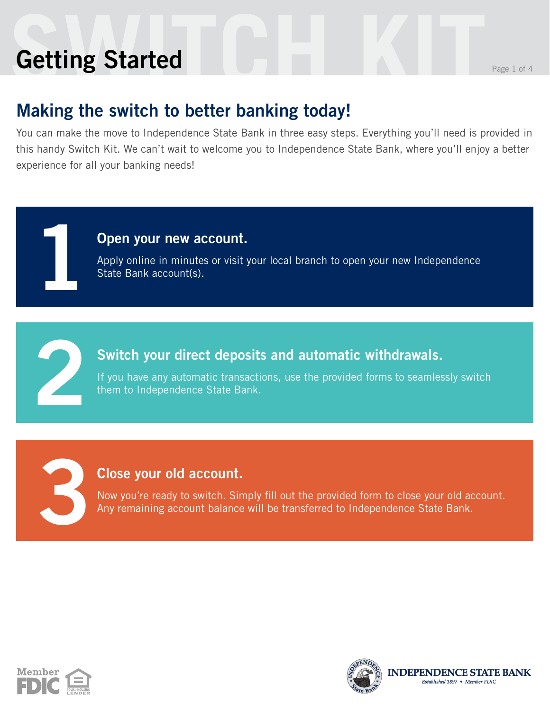# **Setting Started Kitting Started Getting Started**

**1**

**2**

**3**

### **Making the switch to better banking today!**

You can make the move to Independence State Bank in three easy steps. Everything you'll need is provided in this handy Switch Kit. We can't wait to welcome you to Independence State Bank, where you'll enjoy a better experience for all your banking needs!

#### **Open your new account.**

Apply online in minutes or visit your local branch to open your new Independence State Bank account(s).

#### **Switch your direct deposits and automatic withdrawals.**

If you have any automatic transactions, use the provided forms to seamlessly switch them to Independence State Bank.

#### **Close your old account.**

Now you're ready to switch. Simply fill out the provided form to close your old account. Any remaining account balance will be transferred to Independence State Bank.



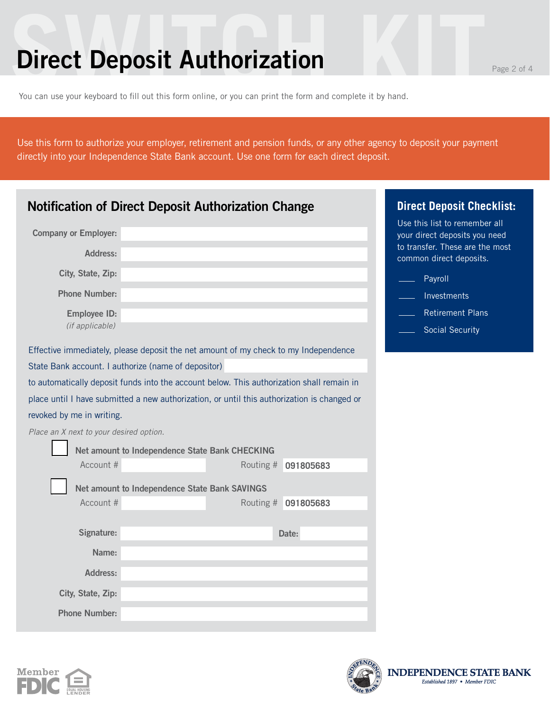### **Direct Deposit Authorization**

You can use your keyboard to fill out this form online, or you can print the form and complete it by hand.

Use this form to authorize your employer, retirement and pension funds, or any other agency to deposit your payment directly into your Independence State Bank account. Use one form for each direct deposit.

| <b>Notification of Direct Deposit Authorization Change</b>                                  | <b>Direct Deposit Checklist:</b>                               |
|---------------------------------------------------------------------------------------------|----------------------------------------------------------------|
| <b>Company or Employer:</b>                                                                 | Use this list to remember all<br>your direct deposits you need |
| <b>Address:</b>                                                                             | to transfer. These are the most<br>common direct deposits.     |
| City, State, Zip:                                                                           | Payroll                                                        |
| <b>Phone Number:</b>                                                                        | Investments                                                    |
| <b>Employee ID:</b>                                                                         | <b>Retirement Plans</b>                                        |
| (if applicable)                                                                             | <b>Social Security</b>                                         |
| Effective immediately, please deposit the net amount of my check to my Independence         |                                                                |
| State Bank account. I authorize (name of depositor)                                         |                                                                |
| to automatically deposit funds into the account below. This authorization shall remain in   |                                                                |
| place until I have submitted a new authorization, or until this authorization is changed or |                                                                |
| revoked by me in writing.                                                                   |                                                                |
| Place an X next to your desired option.                                                     |                                                                |
| Net amount to Independence State Bank CHECKING                                              |                                                                |
| Account #                                                                                   | Routing #<br>091805683                                         |
| Net amount to Independence State Bank SAVINGS                                               |                                                                |
| Account #                                                                                   | Routing #<br>091805683                                         |
|                                                                                             |                                                                |
| Signature:                                                                                  | Date:                                                          |
| Name:                                                                                       |                                                                |
| <b>Address:</b>                                                                             |                                                                |
| City, State, Zip:                                                                           |                                                                |
| <b>Phone Number:</b>                                                                        |                                                                |





**INDEPEI** 

**NDENCE STATE BANK** 

ed 1897 • Member FDIC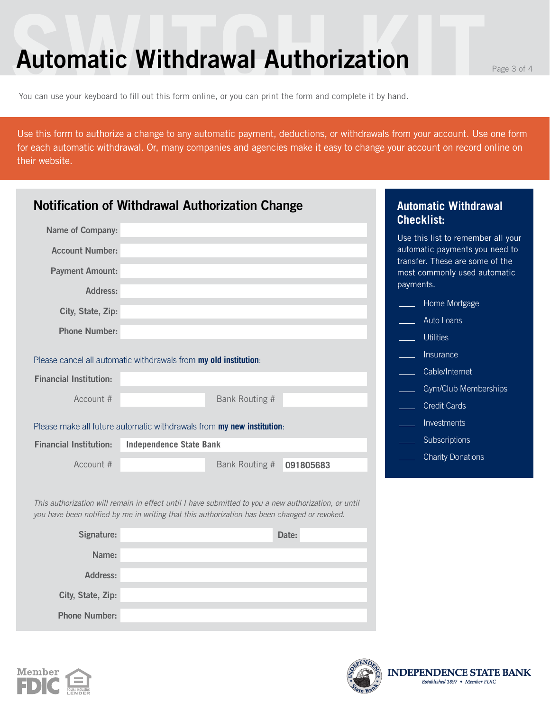### **Automatic Withdrawal Authorization Prage 3 of 4**

You can use your keyboard to fill out this form online, or you can print the form and complete it by hand.

Use this form to authorize a change to any automatic payment, deductions, or withdrawals from your account. Use one form for each automatic withdrawal. Or, many companies and agencies make it easy to change your account on record online on their website.

| <b>Notification of Withdrawal Authorization Change</b> |                                                                                                                                                                                                      | <b>Automatic Withdrawal</b><br><b>Checklist:</b>                  |
|--------------------------------------------------------|------------------------------------------------------------------------------------------------------------------------------------------------------------------------------------------------------|-------------------------------------------------------------------|
| <b>Name of Company:</b>                                |                                                                                                                                                                                                      | Use this list to remember all your                                |
| <b>Account Number:</b>                                 |                                                                                                                                                                                                      | automatic payments you need to<br>transfer. These are some of the |
| <b>Payment Amount:</b>                                 |                                                                                                                                                                                                      | most commonly used automatic<br>payments.                         |
| <b>Address:</b>                                        |                                                                                                                                                                                                      | Home Mortgage                                                     |
| City, State, Zip:                                      |                                                                                                                                                                                                      | Auto Loans                                                        |
| <b>Phone Number:</b>                                   |                                                                                                                                                                                                      | <b>Utilities</b>                                                  |
|                                                        |                                                                                                                                                                                                      | Insurance                                                         |
|                                                        | Please cancel all automatic withdrawals from my old institution:                                                                                                                                     |                                                                   |
| <b>Financial Institution:</b>                          |                                                                                                                                                                                                      | Cable/Internet                                                    |
| Account #                                              | <b>Bank Routing #</b>                                                                                                                                                                                | Gym/Club Memberships                                              |
|                                                        |                                                                                                                                                                                                      | <b>Credit Cards</b>                                               |
|                                                        | Please make all future automatic withdrawals from my new institution:                                                                                                                                | Investments                                                       |
| <b>Financial Institution:</b>                          | <b>Independence State Bank</b>                                                                                                                                                                       | Subscriptions                                                     |
| Account #                                              | Bank Routing #<br>091805683                                                                                                                                                                          | <b>Charity Donations</b>                                          |
|                                                        | This authorization will remain in effect until I have submitted to you a new authorization, or until<br>you have been notified by me in writing that this authorization has been changed or revoked. |                                                                   |
| Signature:                                             | Date:                                                                                                                                                                                                |                                                                   |
| Name:                                                  |                                                                                                                                                                                                      |                                                                   |
| <b>Address:</b>                                        |                                                                                                                                                                                                      |                                                                   |



**City, State, Zip:**

**Phone Number:**